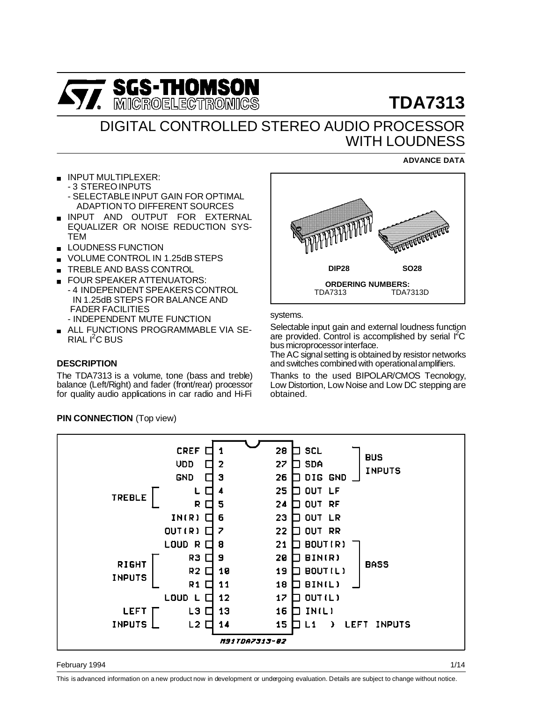

# **TDA7313**

# DIGITAL CONTROLLED STEREO AUDIO PROCESSOR WITH LOUDNESS

### **ADVANCE DATA**

- INPUT MULTIPLEXER: - 3 STEREO INPUTS
	- SELECTABLE INPUT GAIN FOR OPTIMAL ADAPTION TO DIFFERENT SOURCES
- **INPUT AND OUTPUT FOR EXTERNAL** EQUALIZER OR NOISE REDUCTION SYS-TEM
- **LOUDNESS FUNCTION**
- VOLUME CONTROL IN 1.25dB STEPS
- TREBLE AND BASS CONTROL
- FOUR SPEAKER ATTENUATORS: - 4 INDEPENDENT SPEAKERS CONTROL IN 1.25dB STEPS FOR BALANCE AND FADER FACILITIES - INDEPENDENT MUTE FUNCTION
- **ALL FUNCTIONS PROGRAMMABLE VIA SE-**RIAL I<sup>2</sup>C BUS

# **DESCRIPTION**

The TDA7313 is a volume, tone (bass and treble) balance (Left/Right) and fader (front/rear) processor for quality audio applications in car radio and Hi-Fi



systems.

Selectable input gain and external loudness function are provided. Control is accomplished by serial I<sup>2</sup>C bus microprocessor interface.

The AC signal setting is obtained by resistor networks and switches combined with operationalamplifiers.

Thanks to the used BIPOLAR/CMOS Tecnology, Low Distortion, Low Noise and Low DC stepping are obtained.

#### **CREF** 28 H scl 1 **BUS** UDD  $\overline{2}$ 27 SDA n г **INPUTS GND** 3 26  $\Box$  DIG GND  $\overline{\mathbf{A}}$ 25 ח סט⊤ LF L г **TREBLE** R. 5 24 RF מטר г  $IN(R)$ 6 23 א∟ דטס ⊡ OUT  $(R)$   $\Box$  $\overline{z}$ 22  $\square$  out rr LOUD R C  $21$ ו BOUT ( ב 8 R3 O 9 20  $\Box$  נאומם  $\Box$ **RIGHT BASS**  $R2$   $\square$  $10$ ו בו דטספ 19 **INPUTS**  $R1$   $\Box$  $11$ 18  $\square$  ו BINIL)  $L$ 000  $L$  $\Box$  $12$  $12$ ו ∟ז דטס ⊏ **LEFT**  $L3$   $\square$  $13$ 16 IN(L) INPUTS  $L2$   $\square$ 14 15  $L<sub>1</sub>$  $\mathcal{L}$ LEFT INPUTS **M91TDA7313-82**

#### February 1994

This is advanced information on a new product now in development or undergoing evaluation. Details are subject to change without notice.

**PIN CONNECTION** (Top view)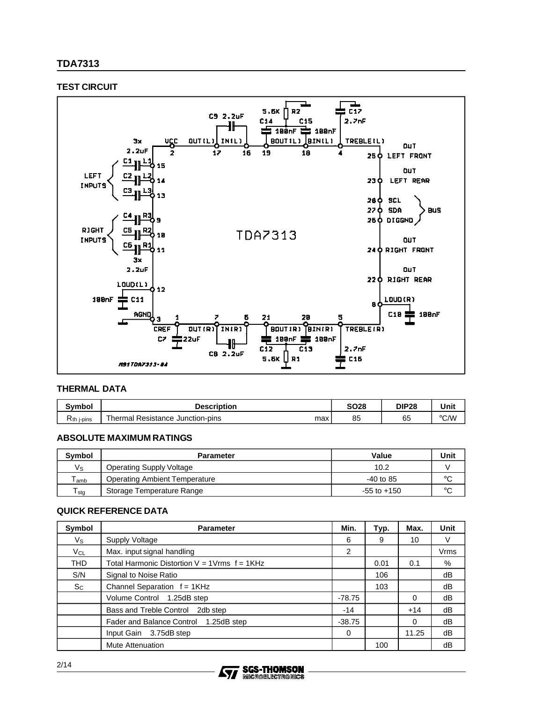# **TDA7313**

# **TEST CIRCUIT**



#### **THERMAL DATA**

| Svmbol                         | <b>Description</b>                                    | SO28 | DIP28 | Unit          |
|--------------------------------|-------------------------------------------------------|------|-------|---------------|
| ∽<br>$R_{th}$<br><i>i-pins</i> | --<br>⊦ Junction-pins<br>Resistance<br>⊺hermal<br>max | 85   | 65    | $\degree$ C/W |

# **ABSOLUTE MAXIMUM RATINGS**

| <b>Symbol</b>               | <b>Parameter</b>                     | Value           | Unit    |
|-----------------------------|--------------------------------------|-----------------|---------|
| $V_{\rm S}$                 | Operating Supply Voltage             | 10.2            |         |
| $\mathsf{T}_{\mathsf{amb}}$ | <b>Operating Ambient Temperature</b> | $-40$ to 85     | $\circ$ |
| ${\sf T}_{\sf stg}$         | Storage Temperature Range            | $-55$ to $+150$ | $\circ$ |

#### **QUICK REFERENCE DATA**

| Symbol     | <b>Parameter</b>                                   | Min.     | Typ. | Max.     | Unit        |
|------------|----------------------------------------------------|----------|------|----------|-------------|
| Vs         | Supply Voltage                                     | 6        | 9    | 10       | V           |
| $V_{CL}$   | Max. input signal handling                         | 2        |      |          | <b>Vrms</b> |
| <b>THD</b> | Total Harmonic Distortion $V = 1$ Vrms $f = 1$ KHz |          | 0.01 | 0.1      | %           |
| S/N        | Signal to Noise Ratio                              |          | 106  |          | dB          |
| $S_{C}$    | Channel Separation $f = 1KHz$                      |          | 103  |          | dB          |
|            | Volume Control 1.25dB step                         | $-78.75$ |      | 0        | dB          |
|            | Bass and Treble Control 2db step                   | $-14$    |      | $+14$    | dB          |
|            | Fader and Balance Control 1.25dB step              | $-38.75$ |      | $\Omega$ | dB          |
|            | 3.75dB step<br>Input Gain                          | 0        |      | 11.25    | dB          |
|            | <b>Mute Attenuation</b>                            |          | 100  |          | dB          |

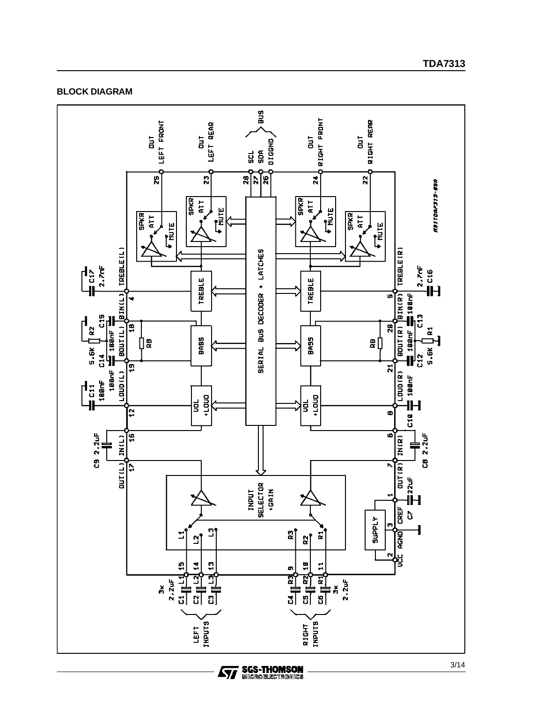

**SGS-THOMSON**<br>MICROELECTRONICS

ィ

## **BLOCK DIAGRAM**

**TDA7313**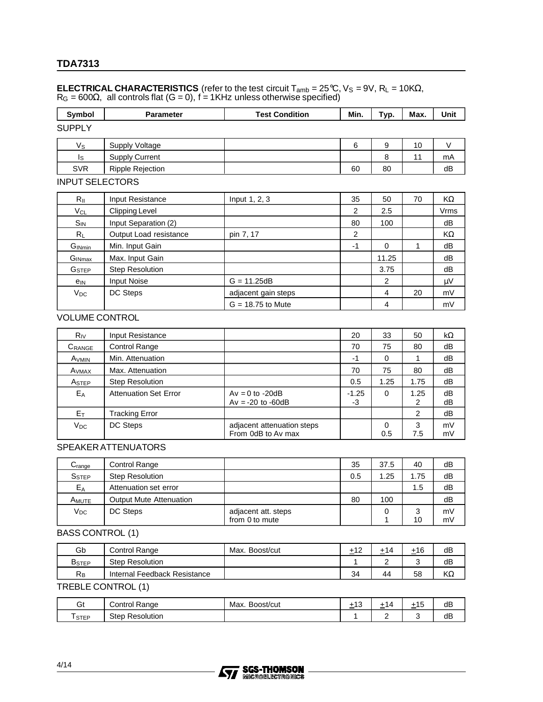# **TDA7313**

#### **ELECTRICAL CHARACTERISTICS** (refer to the test circuit  $T_{amb} = 25^{\circ}C$ ,  $V_S = 9V$ ,  $R_L = 10K\Omega$ ,  $R_G = 600\Omega$ , all controls flat (G = 0), f = 1KHz unless otherwise specified)

| Symbol             | <b>Parameter</b>        | <b>Test Condition</b> | Min. | Typ. | Max. | Unit |
|--------------------|-------------------------|-----------------------|------|------|------|------|
| <b>SUPPLY</b>      |                         |                       |      |      |      |      |
| Vs                 | Supply Voltage          |                       | 6    | 9    | 10   |      |
| Is                 | <b>Supply Current</b>   |                       |      | 8    | 11   | mA   |
| <b>SVR</b>         | <b>Ripple Rejection</b> |                       | 60   | 80   |      | dB   |
| INDI IT SEL ECTORS |                         |                       |      |      |      |      |

#### INPUT SELECTORS

| $R_{\parallel}$          | Input Resistance       | Input 1, 2, 3       | 35   | 50    | 70 | KΩ      |
|--------------------------|------------------------|---------------------|------|-------|----|---------|
| $V_{CL}$                 | <b>Clipping Level</b>  |                     | 2    | 2.5   |    | Vrms    |
| $S_{IN}$                 | Input Separation (2)   |                     | 80   | 100   |    | dB      |
| $R_L$                    | Output Load resistance | pin 7, 17           | 2    |       |    | KΩ      |
| GINmin                   | Min. Input Gain        |                     | $-1$ | 0     |    | dB      |
| $G_{INmax}$              | Max. Input Gain        |                     |      | 11.25 |    | dB      |
| <b>G</b> <sub>STEP</sub> | <b>Step Resolution</b> |                     |      | 3.75  |    | dB      |
| $e_{IN}$                 | <b>Input Noise</b>     | $G = 11.25dB$       |      | 2     |    | $\mu V$ |
| $V_{DC}$                 | DC Steps               | adjacent gain steps |      | 4     | 20 | mV      |
|                          |                        | $G = 18.75$ to Mute |      | 4     |    | mV      |

# VOLUME CONTROL

| $R_{IV}$             | Input Resistance             |                                                  | 20            | 33       | 50        | $k\Omega$ |
|----------------------|------------------------------|--------------------------------------------------|---------------|----------|-----------|-----------|
| $C_{\mathsf{RANGE}}$ | Control Range                |                                                  | 70            | 75       | 80        | dB        |
| A <sub>VMIN</sub>    | Min. Attenuation             |                                                  | -1            | 0        |           | dB        |
| Avmax                | Max. Attenuation             |                                                  | 70            | 75       | 80        | dB        |
| A <sub>STEP</sub>    | <b>Step Resolution</b>       |                                                  | 0.5           | 1.25     | 1.75      | dB        |
| EA                   | <b>Attenuation Set Error</b> | $Av = 0$ to -20dB<br>$Av = -20$ to $-60dB$       | $-1.25$<br>-3 | 0        | 1.25<br>2 | dВ<br>dВ  |
| Eт                   | Tracking Error               |                                                  |               |          | 2         | dВ        |
| $V_{DC}$             | DC Steps                     | adjacent attenuation steps<br>From 0dB to Av max |               | 0<br>0.5 | 3<br>7.5  | mV<br>mV  |

### SPEAKER ATTENUATORS

| $\mathrm{C}_{\text{range}}$ | Control Range                  |                                       | 35  | 37.5 | 40      | dB       |
|-----------------------------|--------------------------------|---------------------------------------|-----|------|---------|----------|
| <b>SSTEP</b>                | <b>Step Resolution</b>         |                                       | 0.5 | 1.25 | 1.75    | dB       |
| E <sub>A</sub>              | Attenuation set error          |                                       |     |      | 1.5     | dB       |
| A <sub>MUTE</sub>           | <b>Output Mute Attenuation</b> |                                       | 80  | 100  |         | dB       |
| <b>V<sub>DC</sub></b>       | DC Steps                       | adjacent att. steps<br>from 0 to mute |     | 0    | 3<br>10 | mV<br>mV |

# BASS CONTROL (1)

| Gb                | Control Range                | Max.<br>Boost/cut | $+1^{\circ}$ | +14    | ±16 | dB |
|-------------------|------------------------------|-------------------|--------------|--------|-----|----|
| B <sub>STEP</sub> | <b>Step Resolution</b>       |                   |              | ⌒<br>_ | ⌒   | dB |
| $R_B$             | Internal Feedback Resistance |                   | 34           | 44     | 58  | KΩ |

# TREBLE CONTROL (1)

| ົ<br>υī     | ontrol:<br>≺anɑe     | Max.<br>Boost/cut | . . |   | $\overline{\phantom{0}}$<br>-<br>ாப | dB |
|-------------|----------------------|-------------------|-----|---|-------------------------------------|----|
| <b>STEP</b> | Step<br>. Resolution |                   |     | - |                                     | dB |

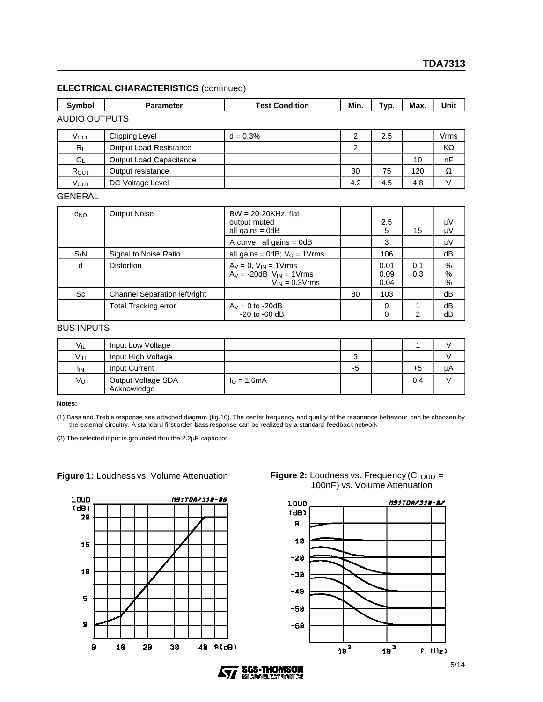# **ELECTRICAL CHARACTERISTICS** (continued)

| Symbol           | <b>Parameter</b>               | <b>Test Condition</b> | Min. | Typ. | Max. | Unit |
|------------------|--------------------------------|-----------------------|------|------|------|------|
| AUDIO OUTPUTS    |                                |                       |      |      |      |      |
| VocL             | Clipping Level                 | $d = 0.3%$            |      | 2.5  |      | Vrms |
| $R_L$            | <b>Output Load Resistance</b>  |                       | 2    |      |      | KΩ   |
| $C_L$            | <b>Output Load Capacitance</b> |                       |      |      | 10   | nF   |
| R <sub>OUT</sub> | Output resistance              |                       | 30   | 75   | 120  | Ω    |

VOUT DC Voltage Level 4.2 4.5 4.8 V

#### GENERAL

| $e_{NO}$ | <b>Output Noise</b>           | $BW = 20-20KHz$ , flat<br>output muted<br>all gains = $0dB$                           |    | 2.5<br>5             | 15         | μV<br>μV          |
|----------|-------------------------------|---------------------------------------------------------------------------------------|----|----------------------|------------|-------------------|
|          |                               | A curve all gains $=$ 0dB                                                             |    | 3                    |            | μV                |
| S/N      | Signal to Noise Ratio         | all gains = $0dB$ ; $V_O = 1V$ rms                                                    |    | 106                  |            | dB                |
| d        | <b>Distortion</b>             | $Av = 0$ , $V_{IN} = 1V$ rms<br>$Av = -20dB$ $V_{IN} = 1V$ rms<br>$V_{IN} = 0.3V$ rms |    | 0.01<br>0.09<br>0.04 | 0.1<br>0.3 | $\%$<br>%<br>$\%$ |
| Sc       | Channel Separation left/right |                                                                                       | 80 | 103                  |            | dB                |
|          | <b>Total Tracking error</b>   | $A_V = 0$ to -20dB<br>$-20$ to $-60$ dB                                               |    | 0<br>0               | 2          | dB<br>dВ          |

# BUS INPUTS

| $V_{IL}$        | Input Low Voltage                 |                       |    |      |    |
|-----------------|-----------------------------------|-----------------------|----|------|----|
| Vıн             | Input High Voltage                |                       |    |      |    |
| <sup>I</sup> IN | <b>Input Current</b>              |                       | -5 | $+5$ | μA |
| Vo              | Output Voltage SDA<br>Acknowledge | $I_{\Omega} = 1.6$ mA |    | 0.4  |    |

**Notes:**

(1) Bass and Treble response see attached diagram (fig.16). The center frequency and quality of the resonance behaviour can be choosen by the external circuitry. A standard first order bass response can be realized by a standard feedback network

(2) The selected input is grounded thru the 2.2µF capacitor.

# **Figure 1:** Loudness vs. Volume Attenuation





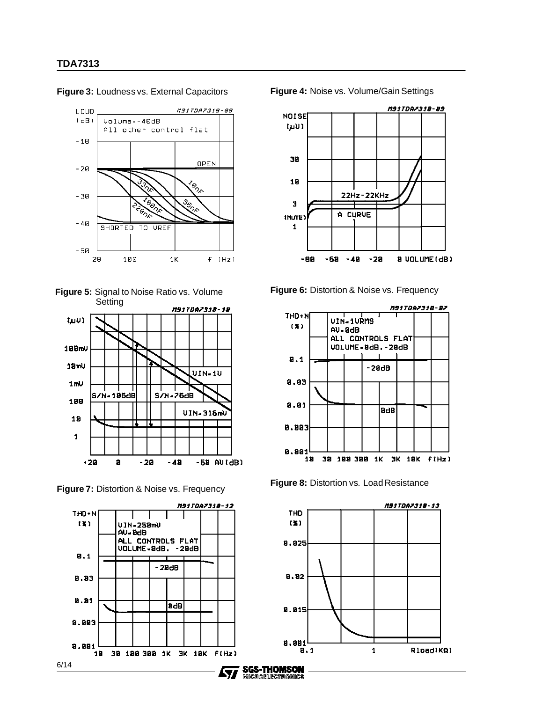

**Figure 3:** Loudness vs. External Capacitors





**Figure 7:** Distortion & Noise vs. Frequency **Figure 8:** Distortion vs. Load Resistance





**Figure 6:** Distortion & Noise vs. Frequency





**Figure 4:** Noise vs. Volume/Gain Settings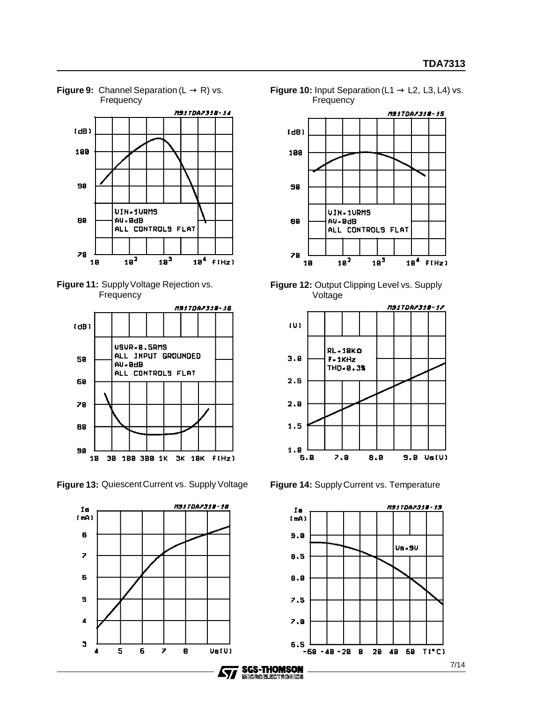

#### **Figure 9:** Channel Separation ( $L \rightarrow R$ ) vs. **Frequency**





**Figure 13:** Quiescent Current vs. Supply Voltage **Figure 14:** Supply Current vs. Temperature



**Figure 10:** Input Separation (L1 → L2, L3, L4) vs. **Frequency** 







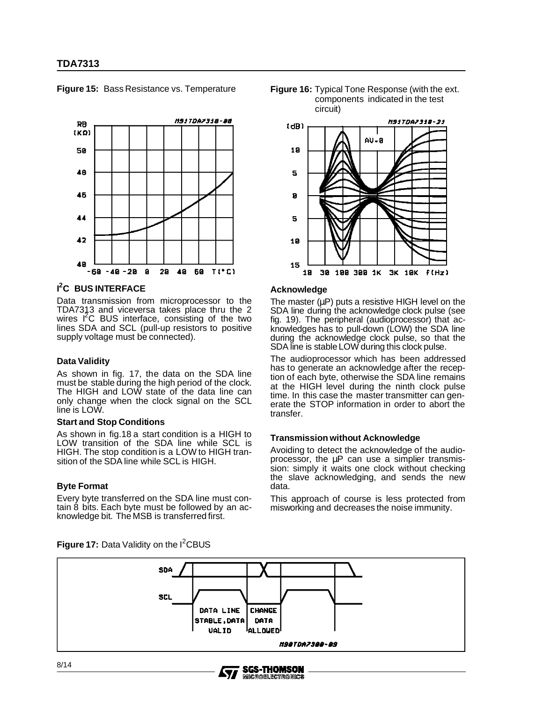

#### **Figure 15:** Bass Resistance vs. Temperature

# **I 2 C BUS INTERFACE**

Data transmission from microprocessor to the TDA7313 and viceversa takes place thru the 2<br>wires I<sup>2</sup>C BUS interface, consisting of the two lines SDA and SCL (pull-up resistors to positive supply voltage must be connected).

#### **Data Validity**

As shown in fig. 17, the data on the SDA line must be stable during the high period of the clock. The HIGH and LOW state of the data line can only change when the clock signal on the SCL line is LOW.

#### **Start and Stop Conditions**

As shown in fig.18 a start condition is a HIGH to LOW transition of the SDA line while SCL is HIGH. The stop condition is a LOW to HIGH transition of the SDA line while SCL is HIGH.

#### **Byte Format**

Every byte transferred on the SDA line must contain 8 bits. Each byte must be followed by an acknowledge bit. The MSB is transferred first.





#### **Acknowledge**

The master  $(uP)$  puts a resistive HIGH level on the SDA line during the acknowledge clock pulse (see fig. 19). The peripheral (audioprocessor) that acknowledges has to pull-down (LOW) the SDA line during the acknowledge clock pulse, so that the SDA line is stable LOW during this clock pulse.

The audioprocessor which has been addressed has to generate an acknowledge after the reception of each byte, otherwise the SDA line remains at the HIGH level during the ninth clock pulse time. In this case the master transmitter can generate the STOP information in order to abort the transfer.

#### **Transmission without Acknowledge**

Avoiding to detect the acknowledge of the audioprocessor, the µP can use a simplier transmission: simply it waits one clock without checking the slave acknowledging, and sends the new data.

This approach of course is less protected from misworking and decreases the noise immunity.



**MICROELECTRONICS** 

Figure 17: Data Validity on the I<sup>2</sup>CBUS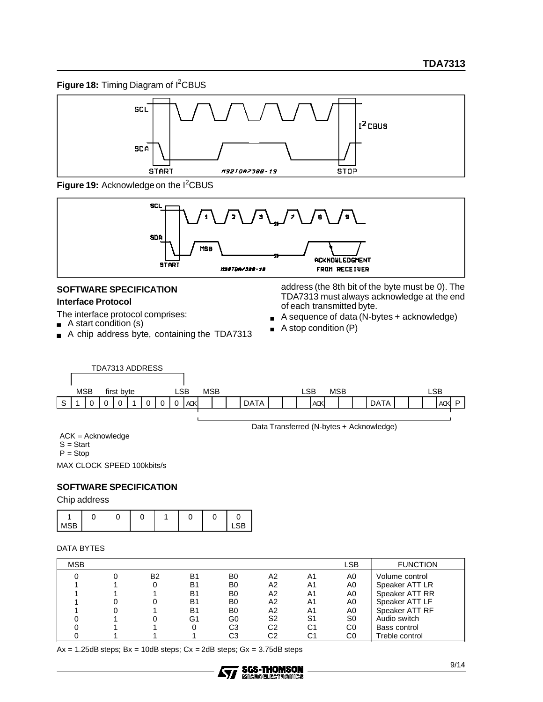Figure 18: Timing Diagram of I<sup>2</sup>CBUS



Figure 19: Acknowledge on the I<sup>2</sup>CBUS



# **SOFTWARE SPECIFICATION Interface Protocol**

The interface protocol comprises:

- $\blacksquare$  A start condition (s)
- A chip address byte, containing the TDA7313  $\blacksquare$

address (the 8th bit of the byte must be 0). The TDA7313 must always acknowledge at the end of each transmitted byte.

- A sequence of data (N-bytes + acknowledge)  $\blacksquare$
- A stop condition (P)  $\blacksquare$



Data Transferred (N-bytes + Acknowledge)

ACK = Acknowledge

 $S = Start$ 

 $P = Stop$ 

MAX CLOCK SPEED 100kbits/s

# **SOFTWARE SPECIFICATION**

Chip address

| <br>_ |  |  |  |  |
|-------|--|--|--|--|

### DATA BYTES

| <b>MSB</b> |           |    |                |                |    | LSB            | <b>FUNCTION</b> |
|------------|-----------|----|----------------|----------------|----|----------------|-----------------|
|            | <b>B2</b> | B1 | B <sub>0</sub> | А2             | A1 | A0             | Volume control  |
|            |           | B1 | B <sub>0</sub> | А2             | A1 | A0             | Speaker ATT LR  |
|            |           | B1 | B <sub>0</sub> | A2             | A1 | A0             | Speaker ATT RR  |
|            |           | B1 | B <sub>0</sub> | A2             | A1 | A0             | Speaker ATT LF  |
|            |           | B1 | B <sub>0</sub> | A2             | A1 | A0             | Speaker ATT RF  |
|            |           | G1 | G0             | S <sub>2</sub> | S1 | S <sub>0</sub> | Audio switch    |
|            |           |    | CЗ             | C2             | C1 | C0             | Bass control    |
|            |           |    | C3             | C2             | C1 | C0             | Treble control  |

 $Ax = 1.25dB$  steps;  $Bx = 10dB$  steps;  $Cx = 2dB$  steps;  $Gx = 3.75dB$  steps

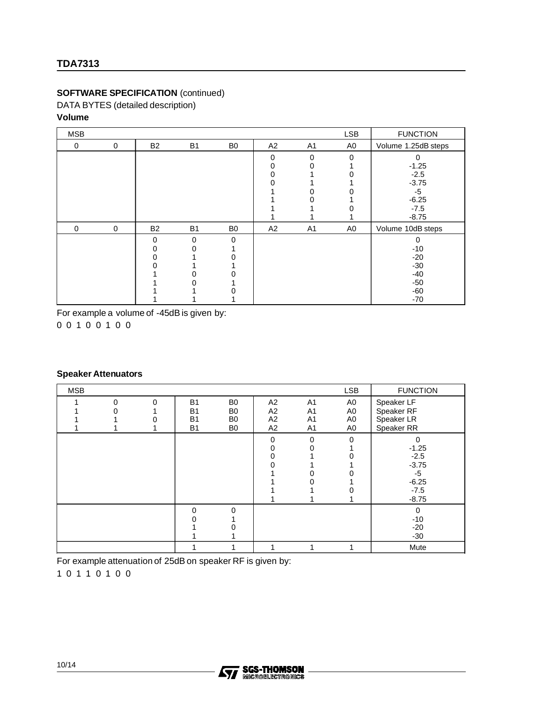# **SOFTWARE SPECIFICATION** (continued)

DATA BYTES (detailed description) **Volume**

| <b>MSB</b> |             |           |                |                |    |                | <b>LSB</b>     | <b>FUNCTION</b>     |
|------------|-------------|-----------|----------------|----------------|----|----------------|----------------|---------------------|
| 0          | $\mathbf 0$ | <b>B2</b> | <b>B1</b>      | B <sub>0</sub> | A2 | A <sub>1</sub> | A <sub>0</sub> | Volume 1.25dB steps |
|            |             |           |                |                | 0  | $\Omega$       | $\Omega$       | 0                   |
|            |             |           |                |                | 0  |                |                | $-1.25$             |
|            |             |           |                |                | 0  |                |                | $-2.5$              |
|            |             |           |                |                |    |                |                | $-3.75$             |
|            |             |           |                |                |    | n              |                | -5                  |
|            |             |           |                |                |    |                |                | $-6.25$             |
|            |             |           |                |                |    |                |                | $-7.5$              |
|            |             |           |                |                |    |                |                | $-8.75$             |
| $\Omega$   | $\mathbf 0$ | <b>B2</b> | B <sub>1</sub> | B <sub>0</sub> | A2 | A <sub>1</sub> | A0             | Volume 10dB steps   |
|            |             | 0         | $\Omega$       | $\Omega$       |    |                |                | 0                   |
|            |             | 0         |                |                |    |                |                | $-10$               |
|            |             | 0         |                |                |    |                |                | $-20$               |
|            |             | 0         |                |                |    |                |                | $-30$               |
|            |             |           |                |                |    |                |                | $-40$               |
|            |             |           |                |                |    |                |                | $-50$               |
|            |             |           |                |                |    |                |                | $-60$               |
|            |             |           |                |                |    |                |                | $-70$               |

For example a volume of -45dB is given by:

# **Speaker Attenuators**

| <b>MSB</b> |          |   |                                                  |                                                          |                      |                                                          | <b>LSB</b>                                   | <b>FUNCTION</b>                                                                  |
|------------|----------|---|--------------------------------------------------|----------------------------------------------------------|----------------------|----------------------------------------------------------|----------------------------------------------|----------------------------------------------------------------------------------|
|            | $\Omega$ | 0 | <b>B1</b><br><b>B1</b><br><b>B1</b><br><b>B1</b> | B <sub>0</sub><br>B0<br>B <sub>0</sub><br>B <sub>0</sub> | A2<br>A2<br>A2<br>A2 | A <sub>1</sub><br>A1<br>A <sub>1</sub><br>A <sub>1</sub> | A0<br>A <sub>0</sub><br>A <sub>0</sub><br>A0 | Speaker LF<br>Speaker RF<br>Speaker LR<br>Speaker RR                             |
|            |          |   |                                                  |                                                          | $\Omega$             | $\Omega$                                                 | $\Omega$                                     | $\Omega$<br>$-1.25$<br>$-2.5$<br>$-3.75$<br>$-5$<br>$-6.25$<br>$-7.5$<br>$-8.75$ |
|            |          |   | $\Omega$                                         |                                                          |                      |                                                          |                                              | $\Omega$<br>$-10$<br>$-20$<br>$-30$                                              |
|            |          |   |                                                  |                                                          |                      |                                                          |                                              | Mute                                                                             |

For example attenuation of 25dB on speaker RF is given by:

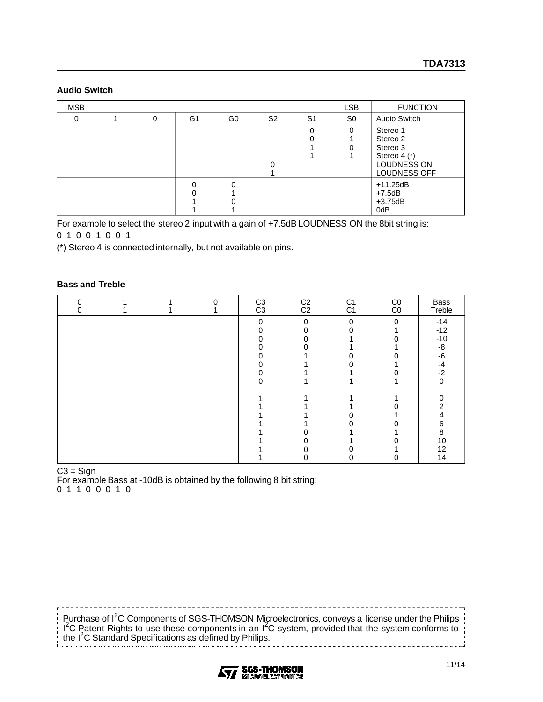# **Audio Switch**

| <b>MSB</b> |   |    |    |                |                | <b>LSB</b>     | <b>FUNCTION</b>                                                                                   |
|------------|---|----|----|----------------|----------------|----------------|---------------------------------------------------------------------------------------------------|
| 0          | 0 | G1 | G0 | S <sub>2</sub> | S <sub>1</sub> | S <sub>0</sub> | Audio Switch                                                                                      |
|            |   |    |    |                | Ω              | $\Omega$       | Stereo 1<br>Stereo 2<br>Stereo 3<br>Stereo $4$ $(*)$<br><b>LOUDNESS ON</b><br><b>LOUDNESS OFF</b> |
|            |   |    |    |                |                |                | $+11.25dB$<br>$+7.5dB$<br>$+3.75dB$<br>0dB                                                        |

For example to select the stereo 2 input with a gain of +7.5dB LOUDNESS ON the 8bit string is:

(\*) Stereo 4 is connected internally, but not available on pins.

# **Bass and Treble**

| ი<br>O |  | $\Omega$ | C <sub>3</sub><br>C <sub>3</sub> | C <sub>2</sub><br>C <sub>2</sub> | C <sub>1</sub><br>C <sub>1</sub> | CO<br>CO | Bass<br>Treble |
|--------|--|----------|----------------------------------|----------------------------------|----------------------------------|----------|----------------|
|        |  |          | 0                                | $\Omega$                         | $\mathbf 0$                      | $\Omega$ | $-14$          |
|        |  |          |                                  |                                  |                                  |          | $-12$          |
|        |  |          |                                  |                                  |                                  |          | $-10$          |
|        |  |          |                                  |                                  |                                  |          | -8             |
|        |  |          |                                  |                                  |                                  |          | -6             |
|        |  |          |                                  |                                  |                                  |          | $-4$           |
|        |  |          |                                  |                                  |                                  |          | $-2$           |
|        |  |          |                                  |                                  |                                  |          | 0              |
|        |  |          |                                  |                                  |                                  |          |                |
|        |  |          |                                  |                                  |                                  |          | າ              |
|        |  |          |                                  |                                  |                                  |          |                |
|        |  |          |                                  |                                  |                                  |          | 6              |
|        |  |          |                                  |                                  |                                  |          | 8              |
|        |  |          |                                  |                                  |                                  |          | 10             |
|        |  |          |                                  |                                  |                                  |          | 12             |
|        |  |          |                                  |                                  |                                  |          | 14             |

#### $C3 =$  Sign

For example Bass at -10dB is obtained by the following 8 bit string:

Purchase of I<sup>2</sup>C Components of SGS-THOMSON Microelectronics, conveys a license under the Philips  $1^2C$  Patent Rights to use these components in an  $1^2C$  system, provided that the system conforms to the I2 C Standard Specifications as defined by Philips. قسد سد س

----------------------------------

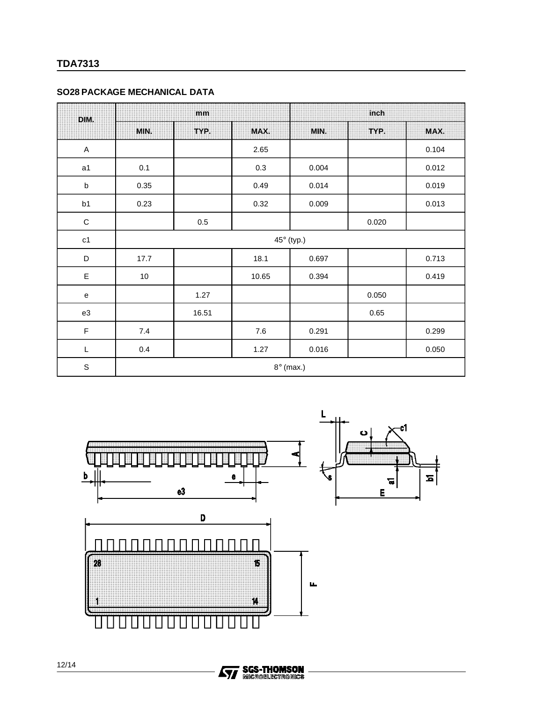# **SO28 PACKAGE MECHANICAL DATA**

| DIM.                                       |                  | mm      |         | inch       |       |       |  |  |  |  |
|--------------------------------------------|------------------|---------|---------|------------|-------|-------|--|--|--|--|
|                                            | MIN.             | TYP.    | MAX.    | MIN.       | TYP.  | MAX.  |  |  |  |  |
| $\mathsf A$                                |                  |         | 2.65    |            |       | 0.104 |  |  |  |  |
| a1                                         | 0.1              |         | 0.3     | 0.004      |       | 0.012 |  |  |  |  |
| $\sf b$                                    | 0.35             |         | 0.49    | 0.014      |       | 0.019 |  |  |  |  |
| b1                                         | 0.23             |         | 0.32    | 0.009      |       | 0.013 |  |  |  |  |
| $\mathbf C$                                |                  | $0.5\,$ |         |            | 0.020 |       |  |  |  |  |
| c1                                         |                  |         |         | 45° (typ.) |       |       |  |  |  |  |
| D                                          | 17.7             |         | 18.1    | 0.697      |       | 0.713 |  |  |  |  |
| E                                          | $10\,$           |         | 10.65   | 0.394      |       | 0.419 |  |  |  |  |
| $\mathsf{e}% _{0}\left( \mathsf{e}\right)$ |                  | 1.27    |         |            | 0.050 |       |  |  |  |  |
| e3                                         |                  | 16.51   |         |            | 0.65  |       |  |  |  |  |
| $\mathsf F$                                | $7.4$            |         | $7.6\,$ | 0.291      |       | 0.299 |  |  |  |  |
| L                                          | 0.4              |         | 1.27    | 0.016      |       | 0.050 |  |  |  |  |
| $\mathsf S$                                | $8^\circ$ (max.) |         |         |            |       |       |  |  |  |  |



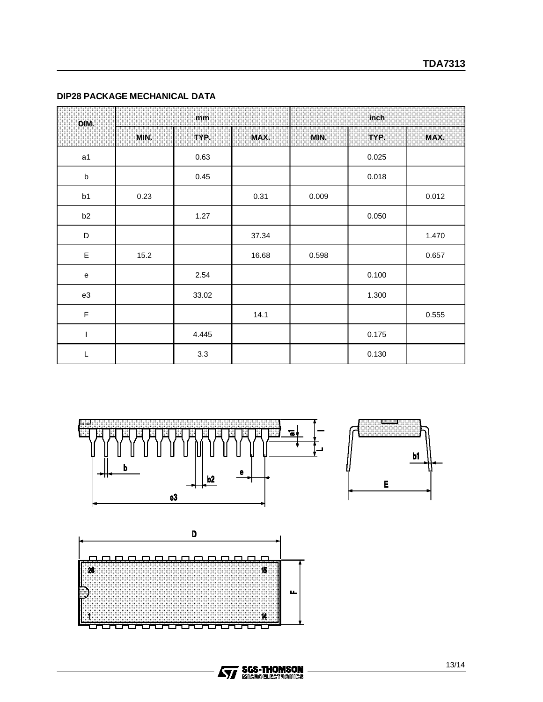# **DIP28 PACKAGE MECHANICAL DATA**

| DIM.           |      | mm    |       | inch  |       |       |  |  |
|----------------|------|-------|-------|-------|-------|-------|--|--|
|                | MIN. | TYP.  | MAX.  | MIN.  | TYP.  | MAX.  |  |  |
| a1             |      | 0.63  |       |       | 0.025 |       |  |  |
| $\sf b$        |      | 0.45  |       |       | 0.018 |       |  |  |
| b1             | 0.23 |       | 0.31  | 0.009 |       | 0.012 |  |  |
| b <sub>2</sub> |      | 1.27  |       |       | 0.050 |       |  |  |
| D              |      |       | 37.34 |       |       | 1.470 |  |  |
| $\mathsf E$    | 15.2 |       | 16.68 | 0.598 |       | 0.657 |  |  |
| ${\bf e}$      |      | 2.54  |       |       | 0.100 |       |  |  |
| e3             |      | 33.02 |       |       | 1.300 |       |  |  |
| F              |      |       | 14.1  |       |       | 0.555 |  |  |
| T              |      | 4.445 |       |       | 0.175 |       |  |  |
| L              |      | 3.3   |       |       | 0.130 |       |  |  |